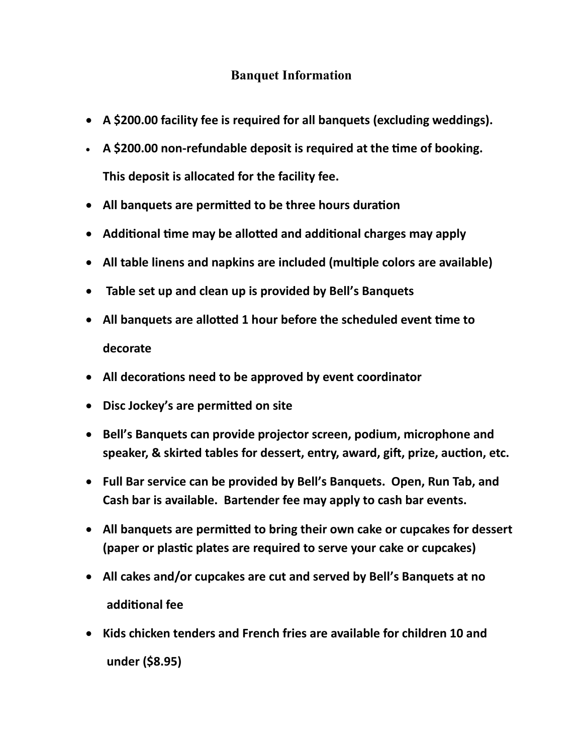#### **Banquet Information**

- **A \$200.00 facility fee is required for all banquets (excluding weddings).**
- **A \$200.00 non-refundable deposit is required at the time of booking. This deposit is allocated for the facility fee.**
- **All banquets are permitted to be three hours duration**
- **Additional time may be allotted and additional charges may apply**
- **All table linens and napkins are included (multiple colors are available)**
- **Table set up and clean up is provided by Bell's Banquets**
- **All banquets are allotted 1 hour before the scheduled event time to decorate**
- **All decorations need to be approved by event coordinator**
- **Disc Jockey's are permitted on site**
- **Bell's Banquets can provide projector screen, podium, microphone and speaker, & skirted tables for dessert, entry, award, gift, prize, auction, etc.**
- **Full Bar service can be provided by Bell's Banquets. Open, Run Tab, and Cash bar is available. Bartender fee may apply to cash bar events.**
- **All banquets are permitted to bring their own cake or cupcakes for dessert (paper or plastic plates are required to serve your cake or cupcakes)**
- **All cakes and/or cupcakes are cut and served by Bell's Banquets at no additional fee**
- **Kids chicken tenders and French fries are available for children 10 and under (\$8.95)**